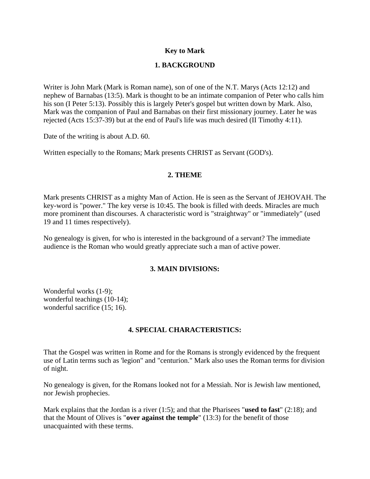# **Key to Mark**

## **1. BACKGROUND**

Writer is John Mark (Mark is Roman name), son of one of the N.T. Marys (Acts 12:12) and nephew of Barnabas (13:5). Mark is thought to be an intimate companion of Peter who calls him his son (I Peter 5:13). Possibly this is largely Peter's gospel but written down by Mark. Also, Mark was the companion of Paul and Barnabas on their first missionary journey. Later he was rejected (Acts 15:37-39) but at the end of Paul's life was much desired (II Timothy 4:11).

Date of the writing is about A.D. 60.

Written especially to the Romans; Mark presents CHRIST as Servant (GOD's).

### **2. THEME**

Mark presents CHRIST as a mighty Man of Action. He is seen as the Servant of JEHOVAH. The key-word is "power." The key verse is 10:45. The book is filled with deeds. Miracles are much more prominent than discourses. A characteristic word is "straightway" or "immediately" (used 19 and 11 times respectively).

No genealogy is given, for who is interested in the background of a servant? The immediate audience is the Roman who would greatly appreciate such a man of active power.

### **3. MAIN DIVISIONS:**

Wonderful works (1-9); wonderful teachings (10-14); wonderful sacrifice (15; 16).

## **4. SPECIAL CHARACTERISTICS:**

That the Gospel was written in Rome and for the Romans is strongly evidenced by the frequent use of Latin terms such as 'legion" and "centurion." Mark also uses the Roman terms for division of night.

No genealogy is given, for the Romans looked not for a Messiah. Nor is Jewish law mentioned, nor Jewish prophecies.

Mark explains that the Jordan is a river (1:5); and that the Pharisees "**used to fast**" (2:18); and that the Mount of Olives is "**over against the temple**" (13:3) for the benefit of those unacquainted with these terms.